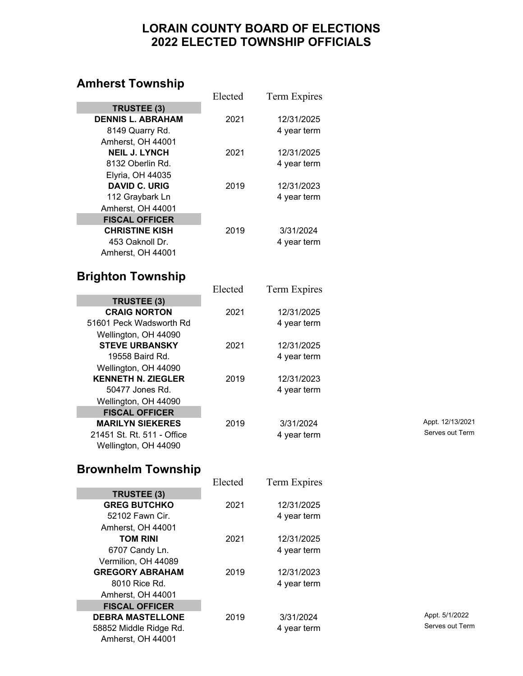#### **LORAIN COUNTY BOARD OF ELECTIONS 2022 ELECTED TOWNSHIP OFFICIALS**

#### **Amherst Township**

|                                               | Elected | Term Expires |                  |
|-----------------------------------------------|---------|--------------|------------------|
| <b>TRUSTEE (3)</b>                            |         |              |                  |
| <b>DENNIS L. ABRAHAM</b>                      | 2021    | 12/31/2025   |                  |
| 8149 Quarry Rd.                               |         | 4 year term  |                  |
| Amherst, OH 44001                             |         |              |                  |
| <b>NEIL J. LYNCH</b>                          | 2021    | 12/31/2025   |                  |
| 8132 Oberlin Rd.                              |         | 4 year term  |                  |
| Elyria, OH 44035                              |         |              |                  |
| <b>DAVID C. URIG</b>                          | 2019    | 12/31/2023   |                  |
| 112 Graybark Ln                               |         | 4 year term  |                  |
| Amherst, OH 44001                             |         |              |                  |
| <b>FISCAL OFFICER</b>                         |         |              |                  |
| <b>CHRISTINE KISH</b>                         | 2019    | 3/31/2024    |                  |
| 453 Oaknoll Dr.                               |         | 4 year term  |                  |
| Amherst, OH 44001                             |         |              |                  |
|                                               |         |              |                  |
| <b>Brighton Township</b>                      |         |              |                  |
|                                               | Elected | Term Expires |                  |
| <b>TRUSTEE (3)</b>                            |         |              |                  |
| <b>CRAIG NORTON</b>                           | 2021    | 12/31/2025   |                  |
| 51601 Peck Wadsworth Rd                       |         | 4 year term  |                  |
|                                               |         |              |                  |
| Wellington, OH 44090<br><b>STEVE URBANSKY</b> | 2021    | 12/31/2025   |                  |
| 19558 Baird Rd.                               |         |              |                  |
|                                               |         | 4 year term  |                  |
| Wellington, OH 44090                          |         |              |                  |
| <b>KENNETH N. ZIEGLER</b>                     | 2019    | 12/31/2023   |                  |
| 50477 Jones Rd.                               |         | 4 year term  |                  |
| Wellington, OH 44090                          |         |              |                  |
| <b>FISCAL OFFICER</b>                         |         |              | Appt. 12/13/2021 |
| <b>MARILYN SIEKERES</b>                       | 2019    | 3/31/2024    | Serves out Term  |
| 21451 St. Rt. 511 - Office                    |         | 4 year term  |                  |
| Wellington, OH 44090                          |         |              |                  |
|                                               |         |              |                  |
| <b>Brownhelm Township</b>                     |         |              |                  |
|                                               | Elected | Term Expires |                  |
| <b>TRUSTEE (3)</b>                            |         |              |                  |
| <b>GREG BUTCHKO</b>                           | 2021    | 12/31/2025   |                  |
| 52102 Fawn Cir.                               |         | 4 year term  |                  |
| Amherst, OH 44001                             |         |              |                  |
| <b>TOM RINI</b>                               | 2021    | 12/31/2025   |                  |
| 6707 Candy Ln.                                |         | 4 year term  |                  |
| Vermilion, OH 44089                           |         |              |                  |
| <b>GREGORY ABRAHAM</b>                        | 2019    | 12/31/2023   |                  |
| 8010 Rice Rd.                                 |         | 4 year term  |                  |
| Amherst, OH 44001                             |         |              |                  |
| <b>FISCAL OFFICER</b>                         |         |              |                  |

58852 Middle Ridge Rd. 4 year term

Amherst, OH 44001

**DEBRA MASTELLONE** 2019 2019 3/31/2024 Appt. 5/1/2022<br>58852 Middle Ridge Rd 4 vear term 4 version 3/31/2024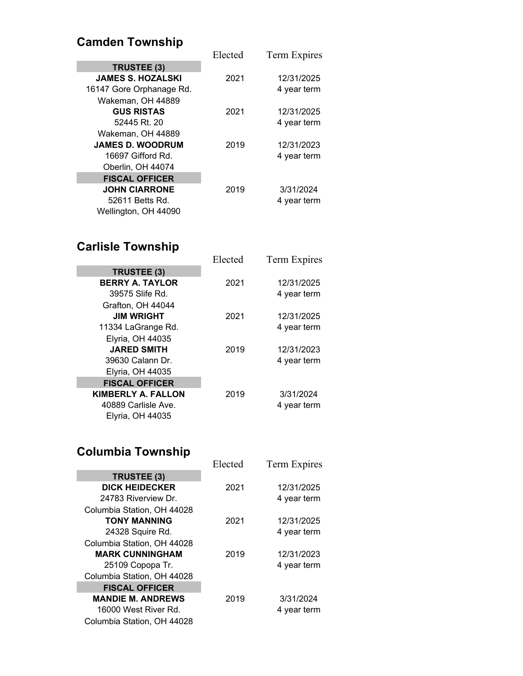# **Camden Township**

| Saniach Townomp          |         |              |
|--------------------------|---------|--------------|
|                          | Elected | Term Expires |
| TRUSTEE (3)              |         |              |
| <b>JAMES S. HOZALSKI</b> | 2021    | 12/31/2025   |
| 16147 Gore Orphanage Rd. |         | 4 year term  |
| Wakeman, OH 44889        |         |              |
| <b>GUS RISTAS</b>        | 2021    | 12/31/2025   |
| 52445 Rt. 20             |         | 4 year term  |
| Wakeman, OH 44889        |         |              |
| <b>JAMES D. WOODRUM</b>  | 2019    | 12/31/2023   |
| 16697 Gifford Rd.        |         | 4 year term  |
| Oberlin, OH 44074        |         |              |
| <b>FISCAL OFFICER</b>    |         |              |
| <b>JOHN CIARRONE</b>     | 2019    | 3/31/2024    |
| 52611 Betts Rd.          |         | 4 year term  |
| Wellington, OH 44090     |         |              |
|                          |         |              |

### **Carlisle Township**

| <b>Carlisle Township</b>  |         |              |
|---------------------------|---------|--------------|
|                           | Elected | Term Expires |
| TRUSTEE (3)               |         |              |
| <b>BERRY A. TAYLOR</b>    | 2021    | 12/31/2025   |
| 39575 Slife Rd.           |         | 4 year term  |
| Grafton, OH 44044         |         |              |
| <b>JIM WRIGHT</b>         | 2021    | 12/31/2025   |
| 11334 LaGrange Rd.        |         | 4 year term  |
| Elyria, OH 44035          |         |              |
| <b>JARED SMITH</b>        | 2019    | 12/31/2023   |
| 39630 Calann Dr.          |         | 4 year term  |
| Elyria, OH 44035          |         |              |
| <b>FISCAL OFFICER</b>     |         |              |
| <b>KIMBERLY A. FALLON</b> | 2019    | 3/31/2024    |
| 40889 Carlisle Ave.       |         | 4 year term  |
| Elyria, OH 44035          |         |              |
|                           |         |              |

### **Columbia Township**

| <b>UUUUNINIA TUWIISIII</b> U |         |              |
|------------------------------|---------|--------------|
|                              | Elected | Term Expires |
| <b>TRUSTEE (3)</b>           |         |              |
| <b>DICK HEIDECKER</b>        | 2021    | 12/31/2025   |
| 24783 Riverview Dr.          |         | 4 year term  |
| Columbia Station, OH 44028   |         |              |
| <b>TONY MANNING</b>          | 2021    | 12/31/2025   |
| 24328 Squire Rd.             |         | 4 year term  |
| Columbia Station, OH 44028   |         |              |
| <b>MARK CUNNINGHAM</b>       | 2019    | 12/31/2023   |
| 25109 Copopa Tr.             |         | 4 year term  |
| Columbia Station, OH 44028   |         |              |
| <b>FISCAL OFFICER</b>        |         |              |
| <b>MANDIE M. ANDREWS</b>     | 2019    | 3/31/2024    |
| 16000 West River Rd.         |         | 4 year term  |
| Columbia Station, OH 44028   |         |              |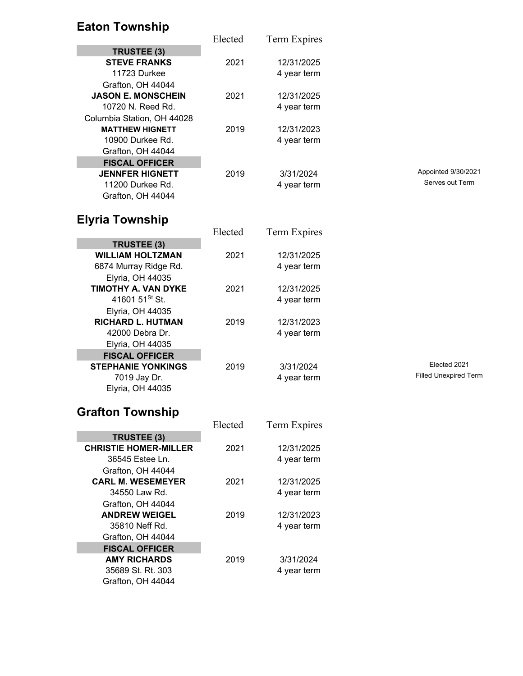# **Eaton Township**

|                            | Elected | Term Expires |                              |  |
|----------------------------|---------|--------------|------------------------------|--|
| TRUSTEE (3)                |         |              |                              |  |
| <b>STEVE FRANKS</b>        | 2021    | 12/31/2025   |                              |  |
| 11723 Durkee               |         | 4 year term  |                              |  |
| Grafton, OH 44044          |         |              |                              |  |
| <b>JASON E. MONSCHEIN</b>  | 2021    | 12/31/2025   |                              |  |
| 10720 N. Reed Rd.          |         | 4 year term  |                              |  |
| Columbia Station, OH 44028 |         |              |                              |  |
| <b>MATTHEW HIGNETT</b>     | 2019    | 12/31/2023   |                              |  |
| 10900 Durkee Rd.           |         | 4 year term  |                              |  |
| Grafton, OH 44044          |         |              |                              |  |
| <b>FISCAL OFFICER</b>      |         |              |                              |  |
| <b>JENNFER HIGNETT</b>     | 2019    | 3/31/2024    | Appointed 9/30/2021          |  |
| 11200 Durkee Rd.           |         | 4 year term  | Serves out Term              |  |
| Grafton, OH 44044          |         |              |                              |  |
|                            |         |              |                              |  |
| <b>Elyria Township</b>     |         |              |                              |  |
|                            | Elected | Term Expires |                              |  |
| TRUSTEE (3)                |         |              |                              |  |
| <b>WILLIAM HOLTZMAN</b>    | 2021    | 12/31/2025   |                              |  |
| 6874 Murray Ridge Rd.      |         | 4 year term  |                              |  |
| <b>Elyria, OH 44035</b>    |         |              |                              |  |
| TIMOTHY A. VAN DYKE        | 2021    | 12/31/2025   |                              |  |
| 41601 51 <sup>St</sup> St. |         | 4 year term  |                              |  |
| Elyria, OH 44035           |         |              |                              |  |
| <b>RICHARD L. HUTMAN</b>   | 2019    | 12/31/2023   |                              |  |
| 42000 Debra Dr.            |         | 4 year term  |                              |  |
| Elyria, OH 44035           |         |              |                              |  |
| <b>FISCAL OFFICER</b>      |         |              |                              |  |
| <b>STEPHANIE YONKINGS</b>  | 2019    | 3/31/2024    | Elected 2021                 |  |
| 7019 Jay Dr.               |         | 4 year term  | <b>Filled Unexpired Term</b> |  |
| Elyria, OH 44035           |         |              |                              |  |
|                            |         |              |                              |  |
| <b>Grafton Township</b>    |         |              |                              |  |
|                            |         |              |                              |  |

|                              | Elected | Term Expires |
|------------------------------|---------|--------------|
| TRUSTEE (3)                  |         |              |
| <b>CHRISTIE HOMER-MILLER</b> | 2021    | 12/31/2025   |
| 36545 Estee Ln.              |         | 4 year term  |
| Grafton, OH 44044            |         |              |
| <b>CARL M. WESEMEYER</b>     | 2021    | 12/31/2025   |
| 34550 Law Rd.                |         | 4 year term  |
| Grafton, OH 44044            |         |              |
| <b>ANDREW WEIGEL</b>         | 2019    | 12/31/2023   |
| 35810 Neff Rd.               |         | 4 year term  |
| Grafton, OH 44044            |         |              |
| <b>FISCAL OFFICER</b>        |         |              |
| <b>AMY RICHARDS</b>          | 2019    | 3/31/2024    |
| 35689 St. Rt. 303            |         | 4 year term  |
| Grafton, OH 44044            |         |              |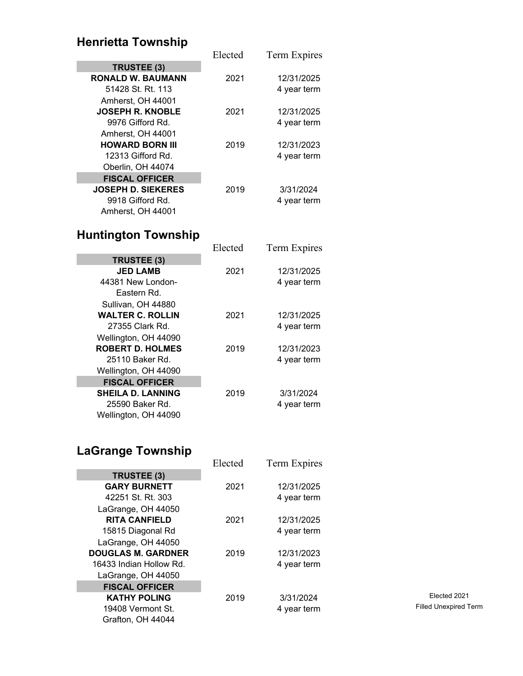### **Henrietta Township**

|                           | Elected | Term Expires |
|---------------------------|---------|--------------|
| TRUSTEE (3)               |         |              |
| <b>RONALD W. BAUMANN</b>  | 2021    | 12/31/2025   |
| 51428 St. Rt. 113         |         | 4 year term  |
| Amherst, OH 44001         |         |              |
| <b>JOSEPH R. KNOBLE</b>   | 2021    | 12/31/2025   |
| 9976 Gifford Rd.          |         | 4 year term  |
| Amherst, OH 44001         |         |              |
| <b>HOWARD BORN III</b>    | 2019    | 12/31/2023   |
| 12313 Gifford Rd.         |         | 4 year term  |
| Oberlin, OH 44074         |         |              |
| <b>FISCAL OFFICER</b>     |         |              |
| <b>JOSEPH D. SIEKERES</b> | 2019    | 3/31/2024    |
| 9918 Gifford Rd.          |         | 4 year term  |
| Amherst, OH 44001         |         |              |

### **Huntington Township**

| <b>Huntington Township</b> |         |              |
|----------------------------|---------|--------------|
|                            | Elected | Term Expires |
| TRUSTEE (3)                |         |              |
| <b>JED LAMB</b>            | 2021    | 12/31/2025   |
| 44381 New London-          |         | 4 year term  |
| Eastern Rd.                |         |              |
| Sullivan, OH 44880         |         |              |
| <b>WALTER C. ROLLIN</b>    | 2021    | 12/31/2025   |
| 27355 Clark Rd.            |         | 4 year term  |
| Wellington, OH 44090       |         |              |
| <b>ROBERT D. HOLMES</b>    | 2019    | 12/31/2023   |
| 25110 Baker Rd.            |         | 4 year term  |
| Wellington, OH 44090       |         |              |
| <b>FISCAL OFFICER</b>      |         |              |
| <b>SHEILA D. LANNING</b>   | 2019    | 3/31/2024    |
| 25590 Baker Rd.            |         | 4 year term  |
| Wellington, OH 44090       |         |              |

# **LaGrange Township**

|                           | Elected | Term Expires |                           |
|---------------------------|---------|--------------|---------------------------|
| TRUSTEE (3)               |         |              |                           |
| <b>GARY BURNETT</b>       | 2021    | 12/31/2025   |                           |
| 42251 St. Rt. 303         |         | 4 year term  |                           |
| LaGrange, OH 44050        |         |              |                           |
| <b>RITA CANFIELD</b>      | 2021    | 12/31/2025   |                           |
| 15815 Diagonal Rd         |         | 4 year term  |                           |
| LaGrange, OH 44050        |         |              |                           |
| <b>DOUGLAS M. GARDNER</b> | 2019    | 12/31/2023   |                           |
| 16433 Indian Hollow Rd.   |         | 4 year term  |                           |
| LaGrange, OH 44050        |         |              |                           |
| <b>FISCAL OFFICER</b>     |         |              |                           |
| <b>KATHY POLING</b>       | 2019    | 3/31/2024    | Elected 2021              |
| 19408 Vermont St.         |         | 4 year term  | <b>Filled Unexpired T</b> |
| Grafton, OH 44044         |         |              |                           |

Filled Unexpired Term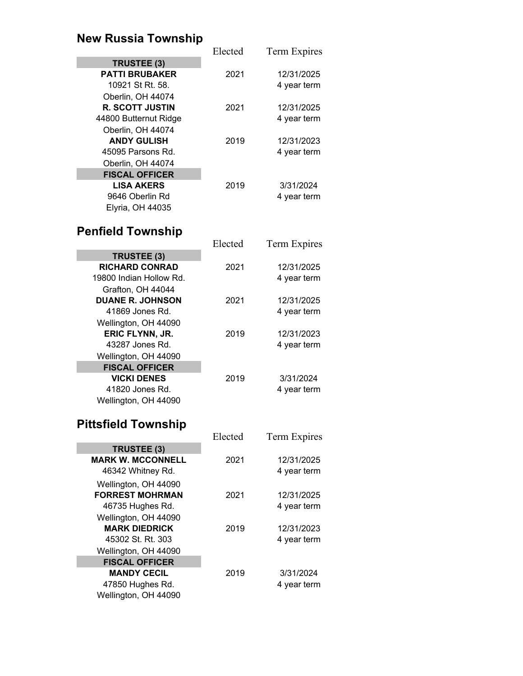# **New Russia Township**

|                         | Elected | Term Expires |
|-------------------------|---------|--------------|
| TRUSTEE (3)             |         |              |
| <b>PATTI BRUBAKER</b>   | 2021    | 12/31/2025   |
| 10921 St Rt. 58.        |         | 4 year term  |
| Oberlin, OH 44074       |         |              |
| <b>R. SCOTT JUSTIN</b>  | 2021    | 12/31/2025   |
| 44800 Butternut Ridge   |         | 4 year term  |
| Oberlin, OH 44074       |         |              |
| <b>ANDY GULISH</b>      | 2019    | 12/31/2023   |
| 45095 Parsons Rd.       |         | 4 year term  |
| Oberlin, OH 44074       |         |              |
| <b>FISCAL OFFICER</b>   |         |              |
| <b>LISA AKERS</b>       | 2019    | 3/31/2024    |
| 9646 Oberlin Rd         |         | 4 year term  |
| <b>Elyria, OH 44035</b> |         |              |

### **Penfield Township**

|                         | Elected | Term Expires |
|-------------------------|---------|--------------|
| TRUSTEE (3)             |         |              |
| <b>RICHARD CONRAD</b>   | 2021    | 12/31/2025   |
| 19800 Indian Hollow Rd. |         | 4 year term  |
| Grafton, OH 44044       |         |              |
| <b>DUANE R. JOHNSON</b> | 2021    | 12/31/2025   |
| 41869 Jones Rd.         |         | 4 year term  |
| Wellington, OH 44090    |         |              |
| ERIC FLYNN, JR.         | 2019    | 12/31/2023   |
| 43287 Jones Rd.         |         | 4 year term  |
| Wellington, OH 44090    |         |              |
| <b>FISCAL OFFICER</b>   |         |              |
| <b>VICKI DENES</b>      | 2019    | 3/31/2024    |
| 41820 Jones Rd.         |         | 4 year term  |
| Wellington, OH 44090    |         |              |

### **Pittsfield Township**

|                          | Elected | Term Expires |
|--------------------------|---------|--------------|
| TRUSTEE (3)              |         |              |
| <b>MARK W. MCCONNELL</b> | 2021    | 12/31/2025   |
| 46342 Whitney Rd.        |         | 4 year term  |
| Wellington, OH 44090     |         |              |
| <b>FORREST MOHRMAN</b>   | 2021    | 12/31/2025   |
| 46735 Hughes Rd.         |         | 4 year term  |
| Wellington, OH 44090     |         |              |
| <b>MARK DIEDRICK</b>     | 2019    | 12/31/2023   |
| 45302 St. Rt. 303        |         | 4 year term  |
| Wellington, OH 44090     |         |              |
| <b>FISCAL OFFICER</b>    |         |              |
| <b>MANDY CECIL</b>       | 2019    | 3/31/2024    |
| 47850 Hughes Rd.         |         | 4 year term  |
| Wellington, OH 44090     |         |              |